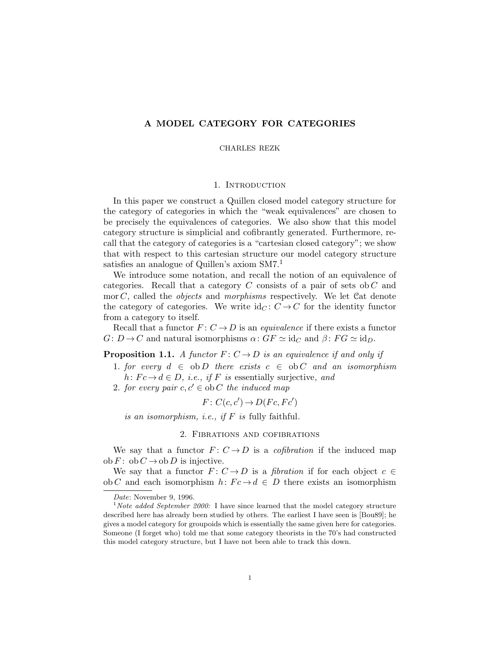# **A MODEL CATEGORY FOR CATEGORIES**

## CHARLES REZK

## 1. Introduction

In this paper we construct a Quillen closed model category structure for the category of categories in which the "weak equivalences" are chosen to be precisely the equivalences of categories. We also show that this model category structure is simplicial and cofibrantly generated. Furthermore, recall that the category of categories is a "cartesian closed category"; we show that with respect to this cartesian structure our model category structure satisfies an analogue of Quillen's axiom  $SM7<sup>1</sup>$ 

We introduce some notation, and recall the notion of an equivalence of categories. Recall that a category *C* consists of a pair of sets ob *C* and mor *C*, called the *objects* and *morphisms* respectively. We let Cat denote the category of categories. We write  $\mathrm{id}_C: C \to C$  for the identity functor from a category to itself.

Recall that a functor  $F: C \to D$  is an *equivalence* if there exists a functor  $G: D \to C$  and natural isomorphisms  $\alpha: GF \simeq id_C$  and  $\beta: FG \simeq id_D$ .

## **Proposition 1.1.** *A functor*  $F: C \to D$  *is an equivalence if and only if*

- 1. *for every*  $d \in ob D$  *there exists*  $c \in ob C$  *and an isomorphism*  $h: Fc \to d \in D$ *, i.e., if F is* essentially surjective, and
- 2. *for every pair*  $c, c' \in ob C$  *the induced map*

$$
F: C(c, c') \to D(Fc, Fc')
$$

*is an isomorphism, i.e., if F is* fully faithful*.*

#### 2. Fibrations and cofibrations

We say that a functor  $F: C \to D$  is a *cofibration* if the induced map  $ob F: ob C \rightarrow ob D$  is injective.

We say that a functor  $F: C \to D$  is a *fibration* if for each object  $c \in$ ob *C* and each isomorphism  $h: Fc \to d \in D$  there exists an isomorphism

*Date*: November 9, 1996.

<sup>1</sup>*Note added September 2000:* I have since learned that the model category structure described here has already been studied by others. The earliest I have seen is [Bou89]; he gives a model category for groupoids which is essentially the same given here for categories. Someone (I forget who) told me that some category theorists in the 70's had constructed this model category structure, but I have not been able to track this down.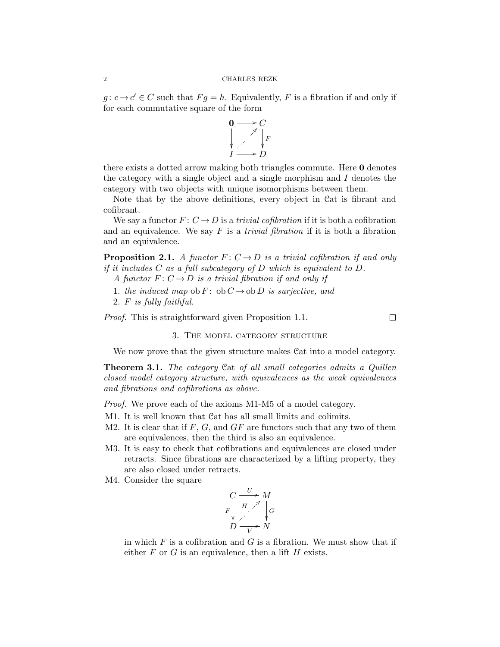#### 2 CHARLES REZK

 $g: c \to c' \in C$  such that  $Fg = h$ . Equivalently, *F* is a fibration if and only if for each commutative square of the form



there exists a dotted arrow making both triangles commute. Here **0** denotes the category with a single object and a single morphism and *I* denotes the category with two objects with unique isomorphisms between them.

Note that by the above definitions, every object in Cat is fibrant and cofibrant.

We say a functor  $F: C \to D$  is a *trivial cofibration* if it is both a cofibration and an equivalence. We say *F* is a *trivial fibration* if it is both a fibration and an equivalence.

**Proposition 2.1.** *A functor*  $F: C \to D$  *is a trivial cofibration if and only if it includes C as a full subcategory of D which is equivalent to D.*

- *A functor*  $F: C \to D$  *is a trivial fibration if and only if*
- 1. *the induced map* ob  $F:$  ob  $C \rightarrow$  ob  $D$  *is surjective, and*
- 2. *F is fully faithful.*

*Proof.* This is straightforward given Proposition 1.1.

 $\Box$ 

3. The model category structure

We now prove that the given structure makes Cat into a model category.

**Theorem 3.1.** *The category* Cat *of all small categories admits a Quillen closed model category structure, with equivalences as the weak equivalences and fibrations and cofibrations as above.*

*Proof.* We prove each of the axioms M1-M5 of a model category.

- M1. It is well known that Cat has all small limits and colimits.
- M2. It is clear that if *F*, *G*, and *GF* are functors such that any two of them are equivalences, then the third is also an equivalence.
- M3. It is easy to check that cofibrations and equivalences are closed under retracts. Since fibrations are characterized by a lifting property, they are also closed under retracts.
- M4. Consider the square

$$
\begin{array}{ccc}\nC & \xrightarrow{U} & M \\
F & H & \downarrow G \\
D & \xrightarrow{V} & N\n\end{array}
$$

in which  $F$  is a cofibration and  $G$  is a fibration. We must show that if either *F* or *G* is an equivalence, then a lift *H* exists.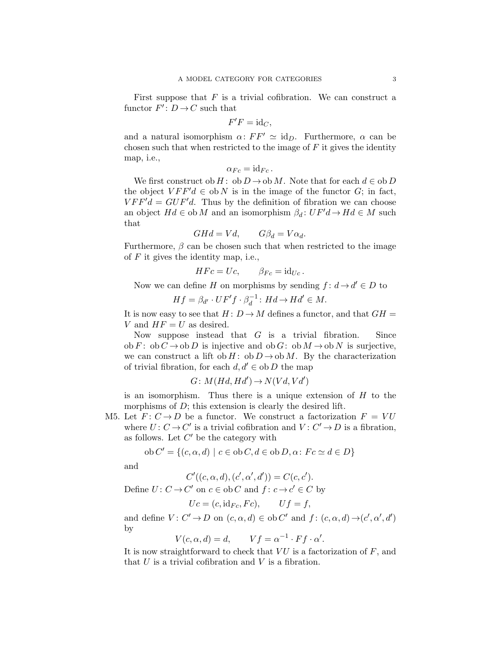First suppose that *F* is a trivial cofibration. We can construct a functor  $F'$ :  $D \to C$  such that

$$
F'F = \mathrm{id}_C,
$$

and a natural isomorphism  $\alpha$ :  $FF' \simeq id_D$ . Furthermore,  $\alpha$  can be chosen such that when restricted to the image of *F* it gives the identity map, i.e.,

$$
\alpha_{Fc} = \mathrm{id}_{Fc}.
$$

We first construct ob *H* : ob  $D \rightarrow \text{ob } M$ . Note that for each  $d \in \text{ob } D$ the object  $VFF'd \in ob N$  is in the image of the functor *G*; in fact,  $VFF'd = GUF'd.$  Thus by the definition of fibration we can choose an object  $Hd \in \text{ob } M$  and an isomorphism  $\beta_d: UF'd \to Hd \in M$  such that

$$
GHd = Vd, \qquad G\beta_d = V\alpha_d.
$$

Furthermore,  $\beta$  can be chosen such that when restricted to the image of *F* it gives the identity map, i.e.,

$$
H F c = U c, \qquad \beta_{Fc} = id_{Uc}.
$$

Now we can define *H* on morphisms by sending  $f: d \rightarrow d' \in D$  to

$$
Hf = \beta_{d'} \cdot UF'f \cdot \beta_d^{-1} \colon Hd \to Hd' \in M.
$$

It is now easy to see that  $H: D \to M$  defines a functor, and that  $GH =$ *V* and  $HF = U$  as desired.

Now suppose instead that *G* is a trivial fibration. Since ob *F* : ob *C*  $\rightarrow$  ob *D* is injective and ob *G*: ob *M*  $\rightarrow$  ob *N* is surjective, we can construct a lift ob *H* : ob *D*  $\rightarrow$  ob *M*. By the characterization of trivial fibration, for each  $d, d' \in ob D$  the map

$$
G \colon M(Hd, Hd') \to N(Vd, Vd')
$$

is an isomorphism. Thus there is a unique extension of *H* to the morphisms of *D*; this extension is clearly the desired lift.

M5. Let  $F: C \to D$  be a functor. We construct a factorization  $F = VU$ where  $U: C \to C'$  is a trivial cofibration and  $V: C' \to D$  is a fibration, as follows. Let *C ′* be the category with

ob 
$$
C' = \{(c, \alpha, d) \mid c \in ob C, d \in ob D, \alpha \colon Fc \simeq d \in D\}
$$

and

$$
C'((c, \alpha, d), (c', \alpha', d')) = C(c, c').
$$

Define  $U: C \to C'$  on  $c \in ob C$  and  $f: c \to c' \in C$  by

$$
Uc = (c, id_{Fc}, Fc), \qquad Uf = f,
$$

and define  $V: C' \to D$  on  $(c, \alpha, d) \in ob C'$  and  $f: (c, \alpha, d) \to (c', \alpha', d')$ by

$$
V(c, \alpha, d) = d, \qquad Vf = \alpha^{-1} \cdot Ff \cdot \alpha'.
$$

It is now straightforward to check that *V U* is a factorization of *F*, and that  $U$  is a trivial cofibration and  $V$  is a fibration.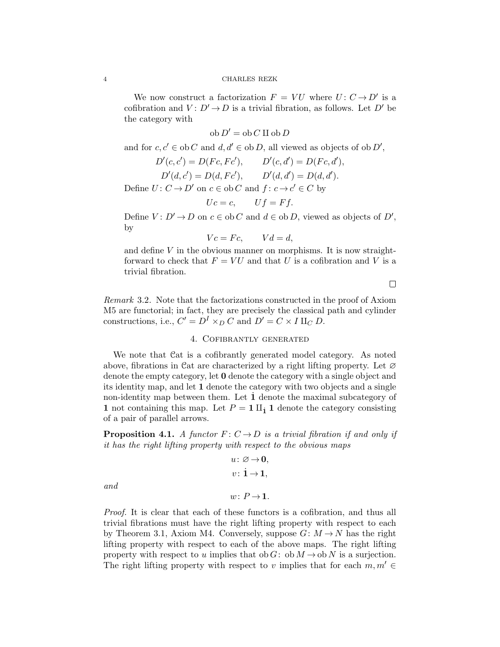#### 4 CHARLES REZK

We now construct a factorization  $F = VU$  where  $U: C \rightarrow D'$  is a cofibration and  $V: D' \to D$  is a trivial fibration, as follows. Let  $D'$  be the category with

$$
ob D' = ob C \amalg ob D
$$

and for  $c, c' \in ob C$  and  $d, d' \in ob D$ , all viewed as objects of  $ob D'$ ,

$$
D'(c, c') = D(Fc, Fc'), \qquad D'(c, d') = D(Fc, d'),
$$
  
\n
$$
D'(d, c') = D(d, Fc'), \qquad D'(d, d') = D(d, d').
$$
  
\nDefine  $U: C \rightarrow D'$  on  $c \in \text{ob } C$  and  $f: c \rightarrow c' \in C$  by

$$
Uc = c, \qquad Uf = Ff.
$$

Define  $V: D' \to D$  on  $c \in ob C$  and  $d \in ob D$ , viewed as objects of  $D'$ , by

$$
Vc = Fc, \qquad Vd = d,
$$

and define  $V$  in the obvious manner on morphisms. It is now straightforward to check that  $F = VU$  and that *U* is a cofibration and *V* is a trivial fibration.

 $\Box$ 

*Remark* 3.2*.* Note that the factorizations constructed in the proof of Axiom M5 are functorial; in fact, they are precisely the classical path and cylinder constructions, i.e.,  $C' = D^I \times_D C$  and  $D' = C \times I \amalg_C D$ .

# 4. Cofibrantly generated

We note that Cat is a cofibrantly generated model category. As noted above, fibrations in Cat are characterized by a right lifting property. Let  $\varnothing$ denote the empty category, let **0** denote the category with a single object and its identity map, and let **1** denote the category with two objects and a single non-identity map between them. Let **1** denote the maximal subcategory of **1** not containing this map. Let  $P = 1 \text{ II}_1$  **1** denote the category consisting of a pair of parallel arrows.

**Proposition 4.1.** *A functor*  $F: C \to D$  *is a trivial fibration if and only if it has the right lifting property with respect to the obvious maps*

$$
u\colon\varnothing\to\mathbf{0},\\v\colon\mathbf{i}\to\mathbf{1},
$$

*and*

$$
w\colon P\,{\to}\, \mathbf{1}.
$$

*Proof.* It is clear that each of these functors is a cofibration, and thus all trivial fibrations must have the right lifting property with respect to each by Theorem 3.1, Axiom M4. Conversely, suppose  $G: M \to N$  has the right lifting property with respect to each of the above maps. The right lifting property with respect to *u* implies that ob *G*: ob  $M \to \text{ob } N$  is a surjection. The right lifting property with respect to *v* implies that for each  $m, m' \in$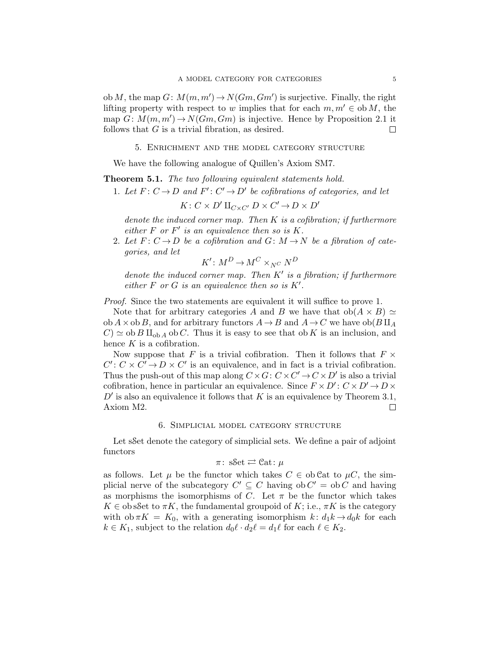ob *M*, the map  $G: M(m, m') \to N(Gm, Gm')$  is surjective. Finally, the right lifting property with respect to *w* implies that for each  $m, m' \in \text{ob } M$ , the map  $G: M(m, m') \to N(Gm, Gm)$  is injective. Hence by Proposition 2.1 it follows that *G* is a trivial fibration, as desired.  $\Box$ 

5. Enrichment and the model category structure

We have the following analogue of Quillen's Axiom SM7.

**Theorem 5.1.** *The two following equivalent statements hold.*

1. Let  $F: C \to D$  and  $F': C' \to D'$  be cofibrations of categories, and let

 $K: C \times D' \amalg_{C \times C'} D \times C' \rightarrow D \times D'$ 

*denote the induced corner map. Then K is a cofibration; if furthermore either*  $F$  *or*  $F'$  *is an equivalence then so is*  $K$ *.* 

2. Let  $F: C \to D$  be a cofibration and  $G: M \to N$  be a fibration of cate*gories, and let*

$$
K' \colon M^D \to M^C \times_{N^C} N^D
$$

*denote the induced corner map. Then K′ is a fibration; if furthermore either*  $F$  *or*  $G$  *is an equivalence then so is*  $K'$ .

*Proof.* Since the two statements are equivalent it will suffice to prove 1.

Note that for arbitrary categories A and B we have that  $ob(A \times B) \simeq$  $\phi$ **b**  $A \times \phi$ **b**  $B$ , and for arbitrary functors  $A \rightarrow B$  and  $A \rightarrow C$  we have  $\phi$ **b** $(B \amalg_A B)$  $C$ )  $\simeq$  ob *B*  $\mathcal{H}_{\text{ob }A}$  ob *C*. Thus it is easy to see that ob *K* is an inclusion, and hence *K* is a cofibration.

Now suppose that *F* is a trivial cofibration. Then it follows that  $F \times$  $C' : C \times C' \rightarrow D \times C'$  is an equivalence, and in fact is a trivial cofibration. Thus the push-out of this map along  $C \times G$ :  $C \times C' \rightarrow C \times D'$  is also a trivial cofibration, hence in particular an equivalence. Since  $F \times D' : C \times D' \rightarrow D \times D'$  $D'$  is also an equivalence it follows that *K* is an equivalence by Theorem 3.1, Axiom M2.  $\Box$ 

#### 6. Simplicial model category structure

Let sSet denote the category of simplicial sets. We define a pair of adjoint functors

$$
\pi\colon\mathop{\mathrm{sSet}}\rightleftarrows\mathop{\mathrm{Cat}}\nolimits\colon\mu
$$

as follows. Let  $\mu$  be the functor which takes  $C \in \text{ob}\,\mathcal{C}$  at to  $\mu C$ , the simplicial nerve of the subcategory  $C' \subseteq C$  having ob  $C' =$  ob  $C$  and having as morphisms the isomorphisms of *C*. Let  $\pi$  be the functor which takes  $K \in \text{obsSet}$  to  $\pi K$ , the fundamental groupoid of  $K$ ; i.e.,  $\pi K$  is the category with  $\phi \circ \pi K = K_0$ , with a generating isomorphism  $k: d_1k \to d_0k$  for each  $k \in K_1$ , subject to the relation  $d_0 \ell \cdot d_2 \ell = d_1 \ell$  for each  $\ell \in K_2$ .